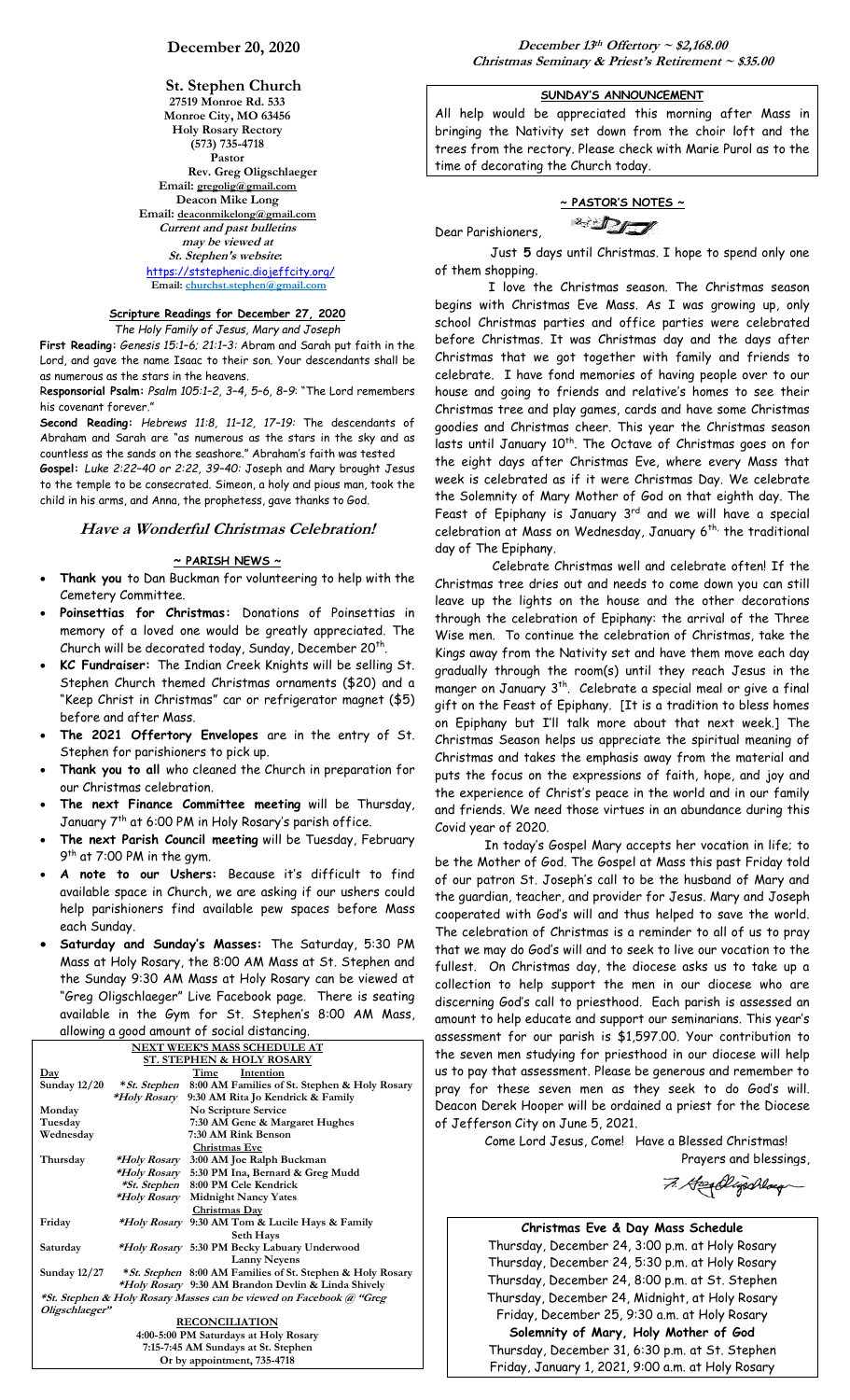**St. Stephen Church 27519 Monroe Rd. 533 Monroe City, MO 63456 Holy Rosary Rectory (573) 735-4718 Pastor Rev. Greg Oligschlaeger Email: gregolig@gmail.com Deacon Mike Long Email: deaconmikelong@gmail.com Current and past bulletins may be viewed at St. Stephen's website:** <https://ststephenic.diojeffcity.org/>  **Email: [churchst.stephen@gmail.com](mailto:churchst.stephen@gmail.com)**

# **Scripture Readings for December 27, 2020**

*The Holy Family of Jesus, Mary and Joseph*

**First Reading:** *Genesis 15:1–6; 21:1–3:* Abram and Sarah put faith in the Lord, and gave the name Isaac to their son. Your descendants shall be as numerous as the stars in the heavens.

R**esponsorial Psalm:** *Psalm 105:1–2, 3–4, 5–6, 8–9*: "The Lord remembers his covenant forever."

**Second Reading:** *Hebrews 11:8, 11–12, 17–19:* The descendants of Abraham and Sarah are "as numerous as the stars in the sky and as countless as the sands on the seashore." Abraham's faith was tested **Gospel:** *Luke 2:22–40 or 2:22, 39–40:* Joseph and Mary brought Jesus to the temple to be consecrated. Simeon, a holy and pious man, took the child in his arms, and Anna, the prophetess, gave thanks to God.

## **Have a Wonderful Christmas Celebration!**

#### **~ PARISH NEWS ~**

- **Thank you** to Dan Buckman for volunteering to help with the Cemetery Committee.
- **Poinsettias for Christmas:** Donations of Poinsettias in memory of a loved one would be greatly appreciated. The Church will be decorated today, Sunday, December 20th.
- **KC Fundraiser:** The Indian Creek Knights will be selling St. Stephen Church themed Christmas ornaments (\$20) and a "Keep Christ in Christmas" car or refrigerator magnet (\$5) before and after Mass.
- **The 2021 Offertory Envelopes** are in the entry of St. Stephen for parishioners to pick up.
- **Thank you to all** who cleaned the Church in preparation for our Christmas celebration.
- **The next Finance Committee meeting** will be Thursday, January 7<sup>th</sup> at 6:00 PM in Holy Rosary's parish office.
- **The next Parish Council meeting** will be Tuesday, February 9<sup>th</sup> at 7:00 PM in the gym.
- **A note to our Ushers:** Because it's difficult to find available space in Church, we are asking if our ushers could help parishioners find available pew spaces before Mass each Sunday.
- **Saturday and Sunday's Masses:** The Saturday, 5:30 PM Mass at Holy Rosary, the 8:00 AM Mass at St. Stephen and the Sunday 9:30 AM Mass at Holy Rosary can be viewed at "Greg Oligschlaeger" Live Facebook page. There is seating available in the Gym for St. Stephen's 8:00 AM Mass,

| allowing a good amount of social distancing. |  |                                                                     |  |  |
|----------------------------------------------|--|---------------------------------------------------------------------|--|--|
| <b>NEXT WEEK'S MASS SCHEDULE AT</b>          |  |                                                                     |  |  |
| <b>ST. STEPHEN &amp; HOLY ROSARY</b>         |  |                                                                     |  |  |
| $\mathbf{Day}$                               |  | Time<br>Intention                                                   |  |  |
| <b>Sunday 12/20</b>                          |  | *St. Stephen 8:00 AM Families of St. Stephen & Holy Rosary          |  |  |
|                                              |  | *Holy Rosary 9:30 AM Rita Jo Kendrick & Family                      |  |  |
| Monday                                       |  | No Scripture Service                                                |  |  |
| Tuesday                                      |  | 7:30 AM Gene & Margaret Hughes                                      |  |  |
| Wednesday                                    |  | 7:30 AM Rink Benson                                                 |  |  |
|                                              |  | Christmas Eve                                                       |  |  |
| Thursday                                     |  | <i>*Holy Rosary</i> 3:00 AM Joe Ralph Buckman                       |  |  |
|                                              |  | *Holy Rosary 5:30 PM Ina, Bernard & Greg Mudd                       |  |  |
|                                              |  | *St. Stephen 8:00 PM Cele Kendrick                                  |  |  |
|                                              |  | <i>*Holy Rosary</i> Midnight Nancy Yates                            |  |  |
|                                              |  | Christmas Day                                                       |  |  |
| Friday                                       |  | *Holy Rosary 9:30 AM Tom & Lucile Hays & Family                     |  |  |
|                                              |  | Seth Hays                                                           |  |  |
| Saturday                                     |  | *Holy Rosary 5:30 PM Becky Labuary Underwood                        |  |  |
|                                              |  | <b>Lanny Nevens</b>                                                 |  |  |
| <b>Sunday 12/27</b>                          |  | *St. Stephen 8:00 AM Families of St. Stephen & Holy Rosary          |  |  |
|                                              |  | *Holy Rosary 9:30 AM Brandon Devlin & Linda Shively                 |  |  |
|                                              |  | *St. Stephen & Holy Rosary Masses can be viewed on Facebook @ "Greg |  |  |
| Oligschlaeger"                               |  |                                                                     |  |  |
|                                              |  | <b>RECONCILIATION</b>                                               |  |  |
| 4:00-5:00 PM Saturdays at Holy Rosary        |  |                                                                     |  |  |
| 7:15-7:45 AM Sundays at St. Stephen          |  |                                                                     |  |  |
| Or by appointment, 735-4718                  |  |                                                                     |  |  |

## **SUNDAY'S ANNOUNCEMENT**

All help would be appreciated this morning after Mass in bringing the Nativity set down from the choir loft and the trees from the rectory. Please check with Marie Purol as to the time of decorating the Church today.

**~ PASTOR'S NOTES ~**  $\mathbb{Z}$ 

Just **5** days until Christmas. I hope to spend only one of them shopping.

Dear Parishioners,

I love the Christmas season. The Christmas season begins with Christmas Eve Mass. As I was growing up, only school Christmas parties and office parties were celebrated before Christmas. It was Christmas day and the days after Christmas that we got together with family and friends to celebrate. I have fond memories of having people over to our house and going to friends and relative's homes to see their Christmas tree and play games, cards and have some Christmas goodies and Christmas cheer. This year the Christmas season lasts until January 10<sup>th</sup>. The Octave of Christmas goes on for the eight days after Christmas Eve, where every Mass that week is celebrated as if it were Christmas Day. We celebrate the Solemnity of Mary Mother of God on that eighth day. The Feast of Epiphany is January  $3<sup>rd</sup>$  and we will have a special celebration at Mass on Wednesday, January  $6^{th}$ , the traditional day of The Epiphany.

 Celebrate Christmas well and celebrate often! If the Christmas tree dries out and needs to come down you can still leave up the lights on the house and the other decorations through the celebration of Epiphany: the arrival of the Three Wise men. To continue the celebration of Christmas, take the Kings away from the Nativity set and have them move each day gradually through the room(s) until they reach Jesus in the manger on January 3 th. Celebrate a special meal or give a final gift on the Feast of Epiphany. [It is a tradition to bless homes on Epiphany but I'll talk more about that next week.] The Christmas Season helps us appreciate the spiritual meaning of Christmas and takes the emphasis away from the material and puts the focus on the expressions of faith, hope, and joy and the experience of Christ's peace in the world and in our family and friends. We need those virtues in an abundance during this Covid year of 2020.

In today's Gospel Mary accepts her vocation in life; to be the Mother of God. The Gospel at Mass this past Friday told of our patron St. Joseph's call to be the husband of Mary and the guardian, teacher, and provider for Jesus. Mary and Joseph cooperated with God's will and thus helped to save the world. The celebration of Christmas is a reminder to all of us to pray that we may do God's will and to seek to live our vocation to the fullest. On Christmas day, the diocese asks us to take up a collection to help support the men in our diocese who are discerning God's call to priesthood. Each parish is assessed an amount to help educate and support our seminarians. This year's assessment for our parish is \$1,597.00. Your contribution to the seven men studying for priesthood in our diocese will help us to pay that assessment. Please be generous and remember to pray for these seven men as they seek to do God's will. Deacon Derek Hooper will be ordained a priest for the Diocese of Jefferson City on June 5, 2021.

> Come Lord Jesus, Come! Have a Blessed Christmas! Prayers and blessings,

7. Hospilligschlaug

**Christmas Eve & Day Mass Schedule** Thursday, December 24, 3:00 p.m. at Holy Rosary Thursday, December 24, 5:30 p.m. at Holy Rosary Thursday, December 24, 8:00 p.m. at St. Stephen Thursday, December 24, Midnight, at Holy Rosary Friday, December 25, 9:30 a.m. at Holy Rosary **Solemnity of Mary, Holy Mother of God** Thursday, December 31, 6:30 p.m. at St. Stephen Friday, January 1, 2021, 9:00 a.m. at Holy Rosary